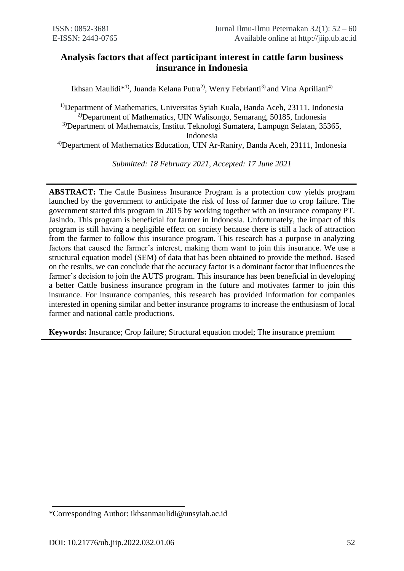# **Analysis factors that affect participant interest in cattle farm business insurance in Indonesia**

Ikhsan Maulidi<sup>\*1)</sup>, Juanda Kelana Putra<sup>2)</sup>, Werry Febrianti<sup>3)</sup> and Vina Apriliani<sup>4)</sup>

<sup>1)</sup>Department of Mathematics, Universitas Syiah Kuala, Banda Aceh, 23111, Indonesia <sup>2)</sup>Department of Mathematics, UIN Walisongo, Semarang, 50185, Indonesia 3)Department of Mathematcis, Institut Teknologi Sumatera, Lampugn Selatan, 35365, Indonesia

4)Department of Mathematics Education, UIN Ar-Raniry, Banda Aceh, 23111, Indonesia

*Submitted: 18 February 2021, Accepted: 17 June 2021*

**ABSTRACT:** The Cattle Business Insurance Program is a protection cow yields program launched by the government to anticipate the risk of loss of farmer due to crop failure. The government started this program in 2015 by working together with an insurance company PT. Jasindo. This program is beneficial for farmer in Indonesia. Unfortunately, the impact of this program is still having a negligible effect on society because there is still a lack of attraction from the farmer to follow this insurance program. This research has a purpose in analyzing factors that caused the farmer's interest, making them want to join this insurance. We use a structural equation model (SEM) of data that has been obtained to provide the method. Based on the results, we can conclude that the accuracy factor is a dominant factor that influences the farmer's decision to join the AUTS program. This insurance has been beneficial in developing a better Cattle business insurance program in the future and motivates farmer to join this insurance. For insurance companies, this research has provided information for companies interested in opening similar and better insurance programs to increase the enthusiasm of local farmer and national cattle productions.

**Keywords:** Insurance; Crop failure; Structural equation model; The insurance premium

<sup>\*</sup>Corresponding Author: ikhsanmaulidi@unsyiah.ac.id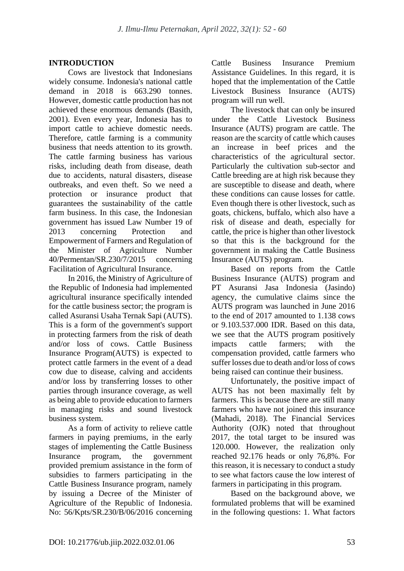## **INTRODUCTION**

Cows are livestock that Indonesians widely consume. Indonesia's national cattle demand in 2018 is 663.290 tonnes. However, domestic cattle production has not achieved these enormous demands (Basith, 2001). Even every year, Indonesia has to import cattle to achieve domestic needs. Therefore, cattle farming is a community business that needs attention to its growth. The cattle farming business has various risks, including death from disease, death due to accidents, natural disasters, disease outbreaks, and even theft. So we need a protection or insurance product that guarantees the sustainability of the cattle farm business. In this case, the Indonesian government has issued Law Number 19 of 2013 concerning Protection and Empowerment of Farmers and Regulation of the Minister of Agriculture Number 40/Permentan/SR.230/7/2015 concerning Facilitation of Agricultural Insurance.

In 2016, the Ministry of Agriculture of the Republic of Indonesia had implemented agricultural insurance specifically intended for the cattle business sector; the program is called Asuransi Usaha Ternak Sapi (AUTS). This is a form of the government's support in protecting farmers from the risk of death and/or loss of cows. Cattle Business Insurance Program(AUTS) is expected to protect cattle farmers in the event of a dead cow due to disease, calving and accidents and/or loss by transferring losses to other parties through insurance coverage, as well as being able to provide education to farmers in managing risks and sound livestock business system.

As a form of activity to relieve cattle farmers in paying premiums, in the early stages of implementing the Cattle Business Insurance program, the government provided premium assistance in the form of subsidies to farmers participating in the Cattle Business Insurance program, namely by issuing a Decree of the Minister of Agriculture of the Republic of Indonesia. No: 56/Kpts/SR.230/B/06/2016 concerning Cattle Business Insurance Premium Assistance Guidelines. In this regard, it is hoped that the implementation of the Cattle Livestock Business Insurance (AUTS) program will run well.

The livestock that can only be insured under the Cattle Livestock Business Insurance (AUTS) program are cattle. The reason are the scarcity of cattle which causes an increase in beef prices and the characteristics of the agricultural sector. Particularly the cultivation sub-sector and Cattle breeding are at high risk because they are susceptible to disease and death, where these conditions can cause losses for cattle. Even though there is other livestock, such as goats, chickens, buffalo, which also have a risk of disease and death, especially for cattle, the price is higher than other livestock so that this is the background for the government in making the Cattle Business Insurance (AUTS) program.

Based on reports from the Cattle Business Insurance (AUTS) program and PT Asuransi Jasa Indonesia (Jasindo) agency, the cumulative claims since the AUTS program was launched in June 2016 to the end of 2017 amounted to 1.138 cows or 9.103.537.000 IDR. Based on this data, we see that the AUTS program positively impacts cattle farmers; with the compensation provided, cattle farmers who suffer losses due to death and/or loss of cows being raised can continue their business.

Unfortunately, the positive impact of AUTS has not been maximally felt by farmers. This is because there are still many farmers who have not joined this insurance (Mahadi, 2018). The Financial Services Authority (OJK) noted that throughout 2017, the total target to be insured was 120.000. However, the realization only reached 92.176 heads or only 76,8%. For this reason, it is necessary to conduct a study to see what factors cause the low interest of farmers in participating in this program.

Based on the background above, we formulated problems that will be examined in the following questions: 1. What factors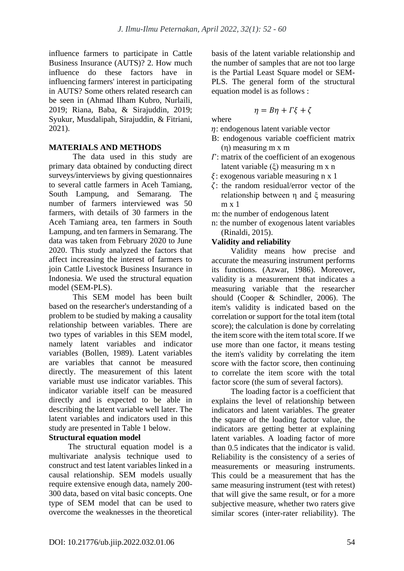influence farmers to participate in Cattle Business Insurance (AUTS)? 2. How much influence do these factors have in influencing farmers' interest in participating in AUTS? Some others related research can be seen in (Ahmad Ilham Kubro, Nurlaili, 2019; Riana, Baba, & Sirajuddin, 2019; Syukur, Musdalipah, Sirajuddin, & Fitriani, 2021).

## **MATERIALS AND METHODS**

The data used in this study are primary data obtained by conducting direct surveys/interviews by giving questionnaires to several cattle farmers in Aceh Tamiang, South Lampung, and Semarang. The number of farmers interviewed was 50 farmers, with details of 30 farmers in the Aceh Tamiang area, ten farmers in South Lampung, and ten farmers in Semarang. The data was taken from February 2020 to June 2020. This study analyzed the factors that affect increasing the interest of farmers to join Cattle Livestock Business Insurance in Indonesia. We used the structural equation model (SEM-PLS).

This SEM model has been built based on the researcher's understanding of a problem to be studied by making a causality relationship between variables. There are two types of variables in this SEM model, namely latent variables and indicator variables (Bollen, 1989). Latent variables are variables that cannot be measured directly. The measurement of this latent variable must use indicator variables. This indicator variable itself can be measured directly and is expected to be able in describing the latent variable well later. The latent variables and indicators used in this study are presented in Table 1 below.

## **Structural equation model**

The structural equation model is a multivariate analysis technique used to construct and test latent variables linked in a causal relationship. SEM models usually require extensive enough data, namely 200- 300 data, based on vital basic concepts. One type of SEM model that can be used to overcome the weaknesses in the theoretical basis of the latent variable relationship and the number of samples that are not too large is the Partial Least Square model or SEM-PLS. The general form of the structural equation model is as follows :

$$
\eta = B\eta + \Gamma\xi + \zeta
$$

where

- $\eta$ : endogenous latent variable vector
- B: endogenous variable coefficient matrix (η) measuring m x m
- $\Gamma$ : matrix of the coefficient of an exogenous latent variable (ξ) measuring m x n
- $\xi$ : exogenous variable measuring n x 1
- $\zeta$ : the random residual/error vector of the relationship between η and ξ measuring m x 1
- m: the number of endogenous latent
- n: the number of exogenous latent variables (Rinaldi, 2015).

## **Validity and reliability**

Validity means how precise and accurate the measuring instrument performs its functions. (Azwar, 1986). Moreover, validity is a measurement that indicates a measuring variable that the researcher should (Cooper & Schindler, 2006). The item's validity is indicated based on the correlation or support for the total item (total score); the calculation is done by correlating the item score with the item total score. If we use more than one factor, it means testing the item's validity by correlating the item score with the factor score, then continuing to correlate the item score with the total factor score (the sum of several factors).

The loading factor is a coefficient that explains the level of relationship between indicators and latent variables. The greater the square of the loading factor value, the indicators are getting better at explaining latent variables. A loading factor of more than 0.5 indicates that the indicator is valid. Reliability is the consistency of a series of measurements or measuring instruments. This could be a measurement that has the same measuring instrument (test with retest) that will give the same result, or for a more subjective measure, whether two raters give similar scores (inter-rater reliability). The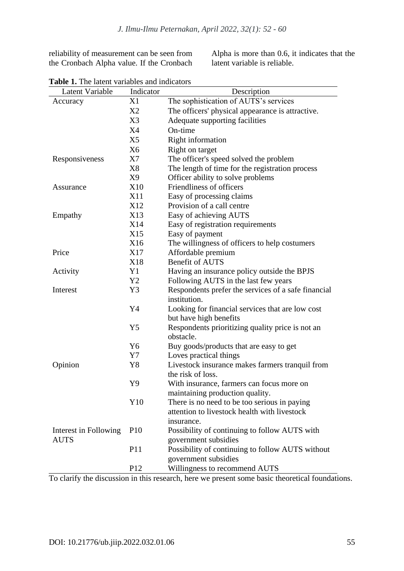reliability of measurement can be seen from the Cronbach Alpha value. If the Cronbach

Alpha is more than 0.6, it indicates that the latent variable is reliable.

| Latent Variable       | Indicator       | Description                                                                                |
|-----------------------|-----------------|--------------------------------------------------------------------------------------------|
| Accuracy              | X1              | The sophistication of AUTS's services                                                      |
|                       | X2              | The officers' physical appearance is attractive.                                           |
|                       | X3              | Adequate supporting facilities                                                             |
|                       | X4              | On-time                                                                                    |
|                       | X5              | Right information                                                                          |
|                       | X <sub>6</sub>  | Right on target                                                                            |
| Responsiveness        | X7              | The officer's speed solved the problem                                                     |
|                       | X8              | The length of time for the registration process                                            |
|                       | X9              | Officer ability to solve problems                                                          |
| Assurance             | X10             | Friendliness of officers                                                                   |
|                       | X11             | Easy of processing claims                                                                  |
|                       | X <sub>12</sub> | Provision of a call centre                                                                 |
| Empathy               | X13             | Easy of achieving AUTS                                                                     |
|                       | X14             | Easy of registration requirements                                                          |
|                       | X15             | Easy of payment                                                                            |
|                       | X16             | The willingness of officers to help costumers                                              |
| Price                 | X17             | Affordable premium                                                                         |
|                       | X18             | <b>Benefit of AUTS</b>                                                                     |
| Activity              | Y1              | Having an insurance policy outside the BPJS                                                |
|                       | Y2              | Following AUTS in the last few years                                                       |
| Interest              | Y3              | Respondents prefer the services of a safe financial                                        |
|                       |                 | institution.                                                                               |
|                       | Y4              | Looking for financial services that are low cost                                           |
|                       |                 | but have high benefits                                                                     |
|                       | Y <sub>5</sub>  | Respondents prioritizing quality price is not an                                           |
|                       |                 | obstacle.                                                                                  |
|                       | Y <sub>6</sub>  | Buy goods/products that are easy to get                                                    |
|                       | Y7              | Loves practical things                                                                     |
| Opinion               | Y8              | Livestock insurance makes farmers tranquil from                                            |
|                       |                 | the risk of loss.                                                                          |
|                       | Y9              | With insurance, farmers can focus more on                                                  |
|                       |                 | maintaining production quality.                                                            |
|                       | Y10             | There is no need to be too serious in paying                                               |
|                       |                 | attention to livestock health with livestock                                               |
|                       |                 | insurance.                                                                                 |
| Interest in Following | <b>P10</b>      | Possibility of continuing to follow AUTS with                                              |
| <b>AUTS</b>           |                 | government subsidies                                                                       |
|                       | P <sub>11</sub> | Possibility of continuing to follow AUTS without                                           |
|                       |                 | government subsidies                                                                       |
|                       | P12             | Willingness to recommend AUTS<br>$\frac{1}{2}$ and $\frac{1}{2}$ and $\frac{1}{2}$ form do |

**Table 1.** The latent variables and indicators

To clarify the discussion in this research, here we present some basic theoretical foundations.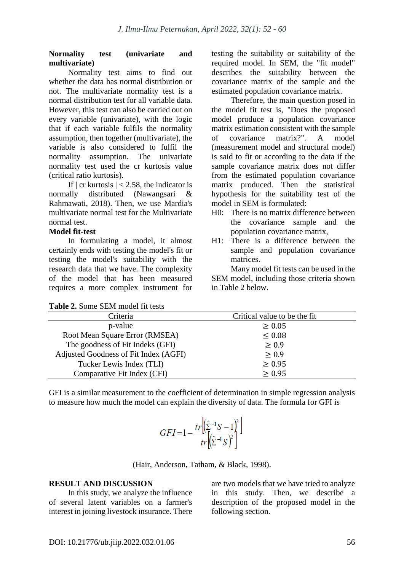### **Normality test (univariate and multivariate)**

Normality test aims to find out whether the data has normal distribution or not. The multivariate normality test is a normal distribution test for all variable data. However, this test can also be carried out on every variable (univariate), with the logic that if each variable fulfils the normality assumption, then together (multivariate), the variable is also considered to fulfil the normality assumption. The univariate normality test used the cr kurtosis value (critical ratio kurtosis).

If  $|\text{cr kurtosis}| < 2.58$ , the indicator is normally distributed (Nawangsari & Rahmawati, 2018). Then, we use Mardia's multivariate normal test for the Multivariate normal test.

### **Model fit-test**

In formulating a model, it almost certainly ends with testing the model's fit or testing the model's suitability with the research data that we have. The complexity of the model that has been measured requires a more complex instrument for testing the suitability or suitability of the required model. In SEM, the "fit model" describes the suitability between the covariance matrix of the sample and the estimated population covariance matrix.

Therefore, the main question posed in the model fit test is, "Does the proposed model produce a population covariance matrix estimation consistent with the sample of covariance matrix?". A model (measurement model and structural model) is said to fit or according to the data if the sample covariance matrix does not differ from the estimated population covariance matrix produced. Then the statistical hypothesis for the suitability test of the model in SEM is formulated:

- H0: There is no matrix difference between the covariance sample and the population covariance matrix,
- H1: There is a difference between the sample and population covariance matrices.

Many model fit tests can be used in the SEM model, including those criteria shown in Table 2 below.

|  |  |  |  | <b>Table 2.</b> Some SEM model fit tests |  |
|--|--|--|--|------------------------------------------|--|
|--|--|--|--|------------------------------------------|--|

| <b>Lable 2.</b> Some SERVI model in tests |                              |
|-------------------------------------------|------------------------------|
| Criteria                                  | Critical value to be the fit |
| p-value                                   | $\geq 0.05$                  |
| Root Mean Square Error (RMSEA)            | $\leq 0.08$                  |
| The goodness of Fit Indeks (GFI)          | $\geq 0.9$                   |
| Adjusted Goodness of Fit Index (AGFI)     | $\geq 0.9$                   |
| Tucker Lewis Index (TLI)                  | $\geq 0.95$                  |
| Comparative Fit Index (CFI)               | $\geq 0.95$                  |

GFI is a similar measurement to the coefficient of determination in simple regression analysis to measure how much the model can explain the diversity of data. The formula for GFI is

| $GFI=1$ | $tr\left  \left( \hat{\Sigma}^{-1} S - 1 \right)^2 \right $ |  |
|---------|-------------------------------------------------------------|--|
|         | $tr\left[\hat{\Sigma}^{-1}S\right]^2$                       |  |

(Hair, Anderson, Tatham, & Black, 1998).

#### **RESULT AND DISCUSSION**

In this study, we analyze the influence of several latent variables on a farmer's interest in joining livestock insurance. There are two models that we have tried to analyze in this study. Then, we describe a description of the proposed model in the following section.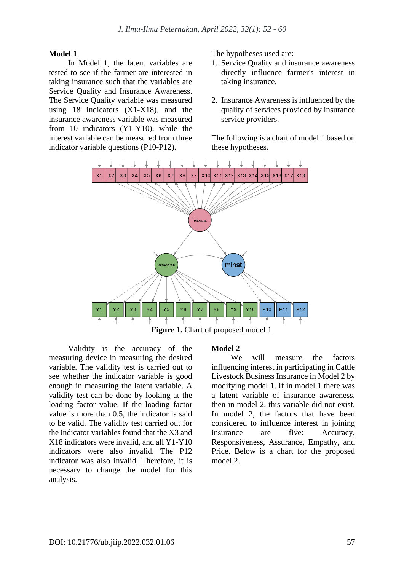#### **Model 1**

In Model 1, the latent variables are tested to see if the farmer are interested in taking insurance such that the variables are Service Quality and Insurance Awareness. The Service Quality variable was measured using 18 indicators  $(X1-X18)$ , and the insurance awareness variable was measured from 10 indicators (Y1-Y10), while the interest variable can be measured from three indicator variable questions (P10-P12).

The hypotheses used are:

- 1. Service Quality and insurance awareness directly influence farmer's interest in taking insurance.
- 2. Insurance Awareness is influenced by the quality of services provided by insurance service providers.

The following is a chart of model 1 based on these hypotheses.



Validity is the accuracy of the measuring device in measuring the desired variable. The validity test is carried out to see whether the indicator variable is good enough in measuring the latent variable. A validity test can be done by looking at the loading factor value. If the loading factor value is more than 0.5, the indicator is said to be valid. The validity test carried out for the indicator variables found that the X3 and X18 indicators were invalid, and all Y1-Y10 indicators were also invalid. The P12 indicator was also invalid. Therefore, it is necessary to change the model for this analysis.

#### **Model 2**

We will measure the factors influencing interest in participating in Cattle Livestock Business Insurance in Model 2 by modifying model 1. If in model 1 there was a latent variable of insurance awareness, then in model 2, this variable did not exist. In model 2, the factors that have been considered to influence interest in joining insurance are five: Accuracy, Responsiveness, Assurance, Empathy, and Price. Below is a chart for the proposed model 2.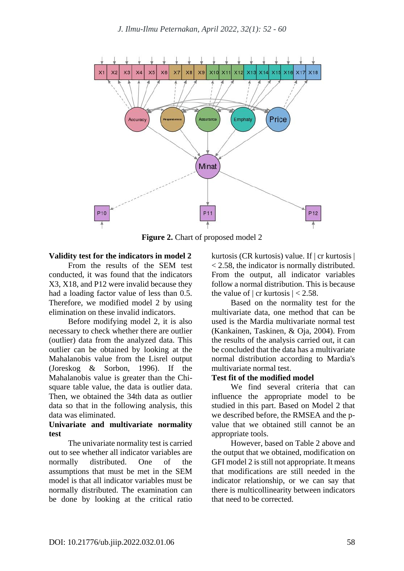

**Figure 2.** Chart of proposed model 2

### **Validity test for the indicators in model 2**

From the results of the SEM test conducted, it was found that the indicators X3, X18, and P12 were invalid because they had a loading factor value of less than 0.5. Therefore, we modified model 2 by using elimination on these invalid indicators.

Before modifying model 2, it is also necessary to check whether there are outlier (outlier) data from the analyzed data. This outlier can be obtained by looking at the Mahalanobis value from the Lisrel output (Joreskog & Sorbon, 1996). If the Mahalanobis value is greater than the Chisquare table value, the data is outlier data. Then, we obtained the 34th data as outlier data so that in the following analysis, this data was eliminated.

#### **Univariate and multivariate normality test**

The univariate normality test is carried out to see whether all indicator variables are normally distributed. One of the assumptions that must be met in the SEM model is that all indicator variables must be normally distributed. The examination can be done by looking at the critical ratio kurtosis (CR kurtosis) value. If | cr kurtosis | < 2.58, the indicator is normally distributed. From the output, all indicator variables follow a normal distribution. This is because the value of  $|cr$  kurtosis  $|< 2.58$ .

Based on the normality test for the multivariate data, one method that can be used is the Mardia multivariate normal test (Kankainen, Taskinen, & Oja, 2004). From the results of the analysis carried out, it can be concluded that the data has a multivariate normal distribution according to Mardia's multivariate normal test.

### **Test fit of the modified model**

We find several criteria that can influence the appropriate model to be studied in this part. Based on Model 2 that we described before, the RMSEA and the pvalue that we obtained still cannot be an appropriate tools.

However, based on Table 2 above and the output that we obtained, modification on GFI model 2 is still not appropriate. It means that modifications are still needed in the indicator relationship, or we can say that there is multicollinearity between indicators that need to be corrected.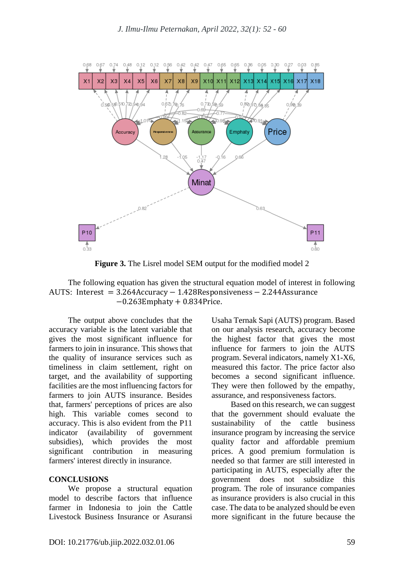

**Figure 3.** The Lisrel model SEM output for the modified model 2

#### The following equation has given the structural equation model of interest in following AUTS: Interest = 3.264Accuracy − 1.428Responsiveness − 2.244Assurance −0.263Emphaty + 0.834Price.

The output above concludes that the accuracy variable is the latent variable that gives the most significant influence for farmers to join in insurance. This shows that the quality of insurance services such as timeliness in claim settlement, right on target, and the availability of supporting facilities are the most influencing factors for farmers to join AUTS insurance. Besides that, farmers' perceptions of prices are also high. This variable comes second to accuracy. This is also evident from the P11 indicator (availability of government subsidies), which provides the most significant contribution in measuring farmers' interest directly in insurance.

#### **CONCLUSIONS**

We propose a structural equation model to describe factors that influence farmer in Indonesia to join the Cattle Livestock Business Insurance or Asuransi Usaha Ternak Sapi (AUTS) program. Based on our analysis research, accuracy become the highest factor that gives the most influence for farmers to join the AUTS program. Several indicators, namely X1-X6, measured this factor. The price factor also becomes a second significant influence. They were then followed by the empathy, assurance, and responsiveness factors.

Based on this research, we can suggest that the government should evaluate the sustainability of the cattle business insurance program by increasing the service quality factor and affordable premium prices. A good premium formulation is needed so that farmer are still interested in participating in AUTS, especially after the government does not subsidize this program. The role of insurance companies as insurance providers is also crucial in this case. The data to be analyzed should be even more significant in the future because the